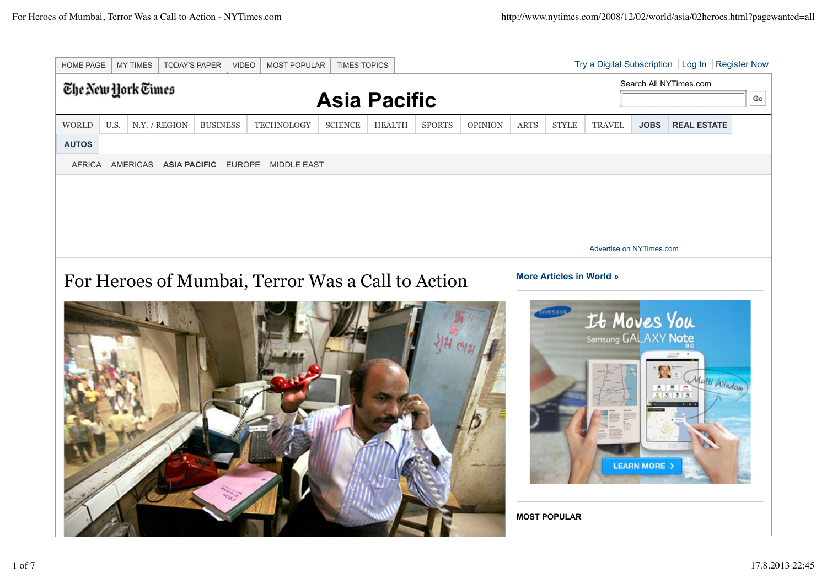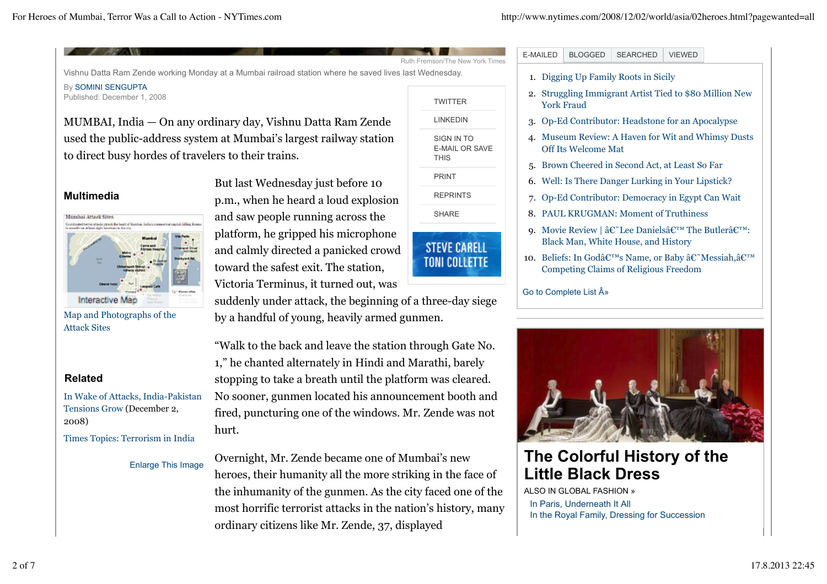#### Ruth Fremson/The New York Times

**TWITTER** LINKEDIN SIGN IN TO E-MAIL OR SAVE

THIS PRINT REPRINTS SHARE

**STEVE CARELL TONI COLLETTE** 

Vishnu Datta Ram Zende working Monday at a Mumbai railroad station where he saved lives last Wednesday.

By SOMINI SENGUPTA Published: December 1, 2008

**CARD IN** 

MUMBAI, India — On any ordinary day, Vishnu Datta Ram Zende used the public-address system at Mumbai's largest railway station to direct busy hordes of travelers to their trains.

## **Multimedia**



Map and Photographs of the Attack Sites

### **Related**

In Wake of Attacks, India-Pakistan Tensions Grow (December 2, 2008)

Times Topics: Terrorism in India

Enlarge This Image

But last Wednesday just before 10 p.m., when he heard a loud explosion and saw people running across the platform, he gripped his microphone and calmly directed a panicked crowd toward the safest exit. The station, Victoria Terminus, it turned out, was

suddenly under attack, the beginning of a three-day siege by a handful of young, heavily armed gunmen.

"Walk to the back and leave the station through Gate No. 1," he chanted alternately in Hindi and Marathi, barely stopping to take a breath until the platform was cleared. No sooner, gunmen located his announcement booth and fired, puncturing one of the windows. Mr. Zende was not hurt.

Overnight, Mr. Zende became one of Mumbai's new heroes, their humanity all the more striking in the face of the inhumanity of the gunmen. As the city faced one of the most horrific terrorist attacks in the nation's history, many ordinary citizens like Mr. Zende, 37, displayed

E-MAILED BLOGGED SEARCHED VIEWED

- 1. Digging Up Family Roots in Sicily
- 2. Struggling Immigrant Artist Tied to \$80 Million New York Fraud
- 3. Op-Ed Contributor: Headstone for an Apocalypse
- Museum Review: A Haven for Wit and Whimsy Dusts 4. Off Its Welcome Mat
- 5. Brown Cheered in Second Act, at Least So Far
- 6. Well: Is There Danger Lurking in Your Lipstick?
- 7. Op-Ed Contributor: Democracy in Egypt Can Wait
- 8. PAUL KRUGMAN: Moment of Truthiness
- 9. Movie Review | â€~Lee Daniels' The Butler': Black Man, White House, and History
- 10. Beliefs: In God's Name, or Baby â€~Messiah,' Competing Claims of Religious Freedom

Go to Complete List  $\hat{A}$ »



**The Colorful History of the Little Black Dress**

ALSO IN GLOBAL FASHION » In Paris, Underneath It All In the Royal Family, Dressing for Succession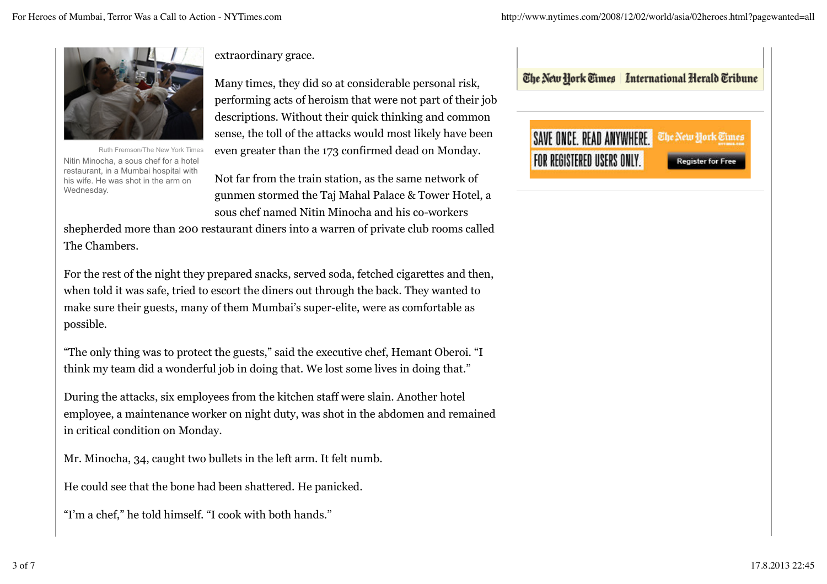

Ruth Fremson/The New York Times Nitin Minocha, a sous chef for a hotel restaurant, in a Mumbai hospital with his wife. He was shot in the arm on **Wednesday** 

extraordinary grace.

Many times, they did so at considerable personal risk, performing acts of heroism that were not part of their job descriptions. Without their quick thinking and common sense, the toll of the attacks would most likely have been even greater than the 173 confirmed dead on Monday.

Not far from the train station, as the same network of gunmen stormed the Taj Mahal Palace & Tower Hotel, a sous chef named Nitin Minocha and his co-workers

shepherded more than 200 restaurant diners into a warren of private club rooms called The Chambers.

For the rest of the night they prepared snacks, served soda, fetched cigarettes and then, when told it was safe, tried to escort the diners out through the back. They wanted to make sure their guests, many of them Mumbai's super-elite, were as comfortable as possible.

"The only thing was to protect the guests," said the executive chef, Hemant Oberoi. "I think my team did a wonderful job in doing that. We lost some lives in doing that."

During the attacks, six employees from the kitchen staff were slain. Another hotel employee, a maintenance worker on night duty, was shot in the abdomen and remained in critical condition on Monday.

Mr. Minocha, 34, caught two bullets in the left arm. It felt numb.

He could see that the bone had been shattered. He panicked.

"I'm a chef," he told himself. "I cook with both hands."

| The New York Times   International Herald Tribune |                                   |  |                          |  |
|---------------------------------------------------|-----------------------------------|--|--------------------------|--|
|                                                   | <b>SAVE ONCE. READ ANYWHERE.</b>  |  | The New York Times       |  |
|                                                   | <b>FOR REGISTERED USERS ONLY.</b> |  | <b>Register for Free</b> |  |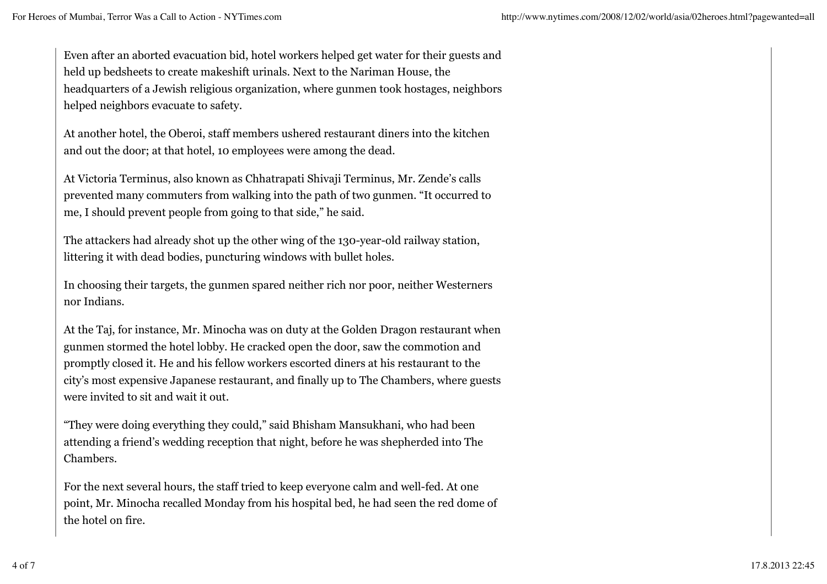Even after an aborted evacuation bid, hotel workers helped get water for their guests and held up bedsheets to create makeshift urinals. Next to the Nariman House, the headquarters of a Jewish religious organization, where gunmen took hostages, neighbors helped neighbors evacuate to safety.

At another hotel, the Oberoi, staff members ushered restaurant diners into the kitchen and out the door; at that hotel, 10 employees were among the dead.

At Victoria Terminus, also known as Chhatrapati Shivaji Terminus, Mr. Zende's calls prevented many commuters from walking into the path of two gunmen. "It occurred to me, I should prevent people from going to that side," he said.

The attackers had already shot up the other wing of the 130-year-old railway station, littering it with dead bodies, puncturing windows with bullet holes.

In choosing their targets, the gunmen spared neither rich nor poor, neither Westerners nor Indians.

At the Taj, for instance, Mr. Minocha was on duty at the Golden Dragon restaurant when gunmen stormed the hotel lobby. He cracked open the door, saw the commotion and promptly closed it. He and his fellow workers escorted diners at his restaurant to the city's most expensive Japanese restaurant, and finally up to The Chambers, where guests were invited to sit and wait it out.

"They were doing everything they could," said Bhisham Mansukhani, who had been attending a friend's wedding reception that night, before he was shepherded into The Chambers.

For the next several hours, the staff tried to keep everyone calm and well-fed. At one point, Mr. Minocha recalled Monday from his hospital bed, he had seen the red dome of the hotel on fire.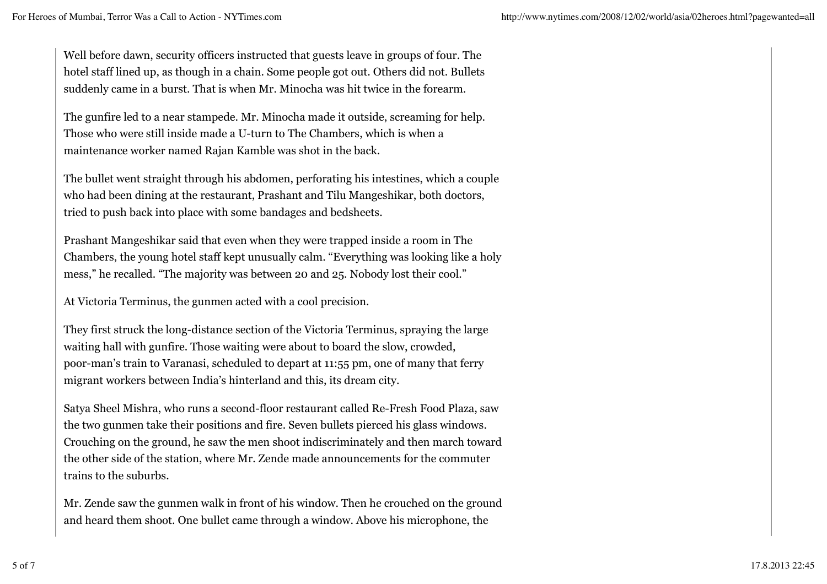Well before dawn, security officers instructed that guests leave in groups of four. The hotel staff lined up, as though in a chain. Some people got out. Others did not. Bullets suddenly came in a burst. That is when Mr. Minocha was hit twice in the forearm.

The gunfire led to a near stampede. Mr. Minocha made it outside, screaming for help. Those who were still inside made a U-turn to The Chambers, which is when a maintenance worker named Rajan Kamble was shot in the back.

The bullet went straight through his abdomen, perforating his intestines, which a couple who had been dining at the restaurant, Prashant and Tilu Mangeshikar, both doctors, tried to push back into place with some bandages and bedsheets.

Prashant Mangeshikar said that even when they were trapped inside a room in The Chambers, the young hotel staff kept unusually calm. "Everything was looking like a holy mess," he recalled. "The majority was between 20 and 25. Nobody lost their cool."

At Victoria Terminus, the gunmen acted with a cool precision.

They first struck the long-distance section of the Victoria Terminus, spraying the large waiting hall with gunfire. Those waiting were about to board the slow, crowded, poor-man's train to Varanasi, scheduled to depart at 11:55 pm, one of many that ferry migrant workers between India's hinterland and this, its dream city.

Satya Sheel Mishra, who runs a second-floor restaurant called Re-Fresh Food Plaza, saw the two gunmen take their positions and fire. Seven bullets pierced his glass windows. Crouching on the ground, he saw the men shoot indiscriminately and then march toward the other side of the station, where Mr. Zende made announcements for the commuter trains to the suburbs.

Mr. Zende saw the gunmen walk in front of his window. Then he crouched on the ground and heard them shoot. One bullet came through a window. Above his microphone, the